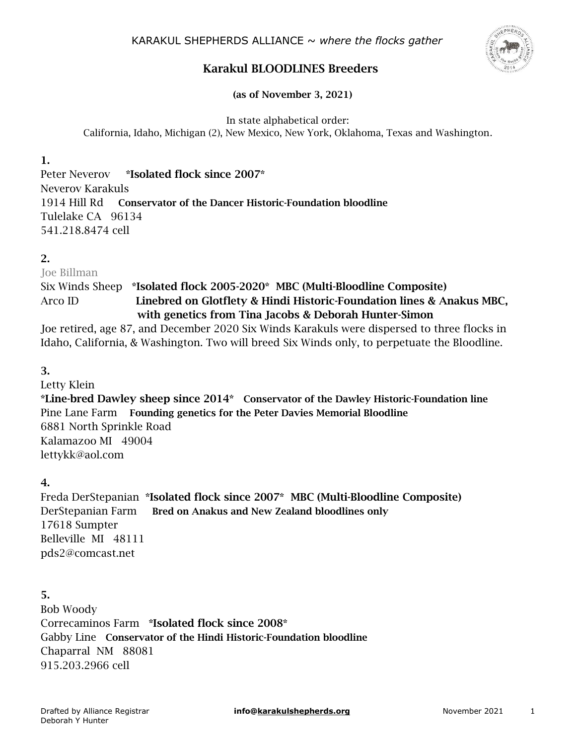

# Karakul BLOODLINES Breeders

(as of November 3, 2021)

In state alphabetical order: California, Idaho, Michigan (2), New Mexico, New York, Oklahoma, Texas and Washington.

1.

Peter Neverov \*Isolated flock since 2007\* Neverov Karakuls 1914 Hill Rd Conservator of the Dancer Historic-Foundation bloodline Tulelake CA 96134 541.218.8474 cell

### 2.

Joe Billman Six Winds Sheep \*Isolated flock 2005-2020\* MBC (Multi-Bloodline Composite) Arco ID Linebred on Glotflety & Hindi Historic-Foundation lines & Anakus MBC, with genetics from Tina Jacobs & Deborah Hunter-Simon

Joe retired, age 87, and December 2020 Six Winds Karakuls were dispersed to three flocks in Idaho, California, & Washington. Two will breed Six Winds only, to perpetuate the Bloodline.

### 3.

Letty Klein \*Line-bred Dawley sheep since 2014\* Conservator of the Dawley Historic-Foundation line Pine Lane Farm Founding genetics for the Peter Davies Memorial Bloodline 6881 North Sprinkle Road Kalamazoo MI 49004 lettykk@aol.com

### 4.

Freda DerStepanian \*Isolated flock since 2007\* MBC (Multi-Bloodline Composite) DerStepanian Farm Bred on Anakus and New Zealand bloodlines only 17618 Sumpter Belleville MI 48111 pds2@comcast.net

5.

Bob Woody Correcaminos Farm \*Isolated flock since 2008\* Gabby Line Conservator of the Hindi Historic-Foundation bloodline Chaparral NM 88081 915.203.2966 cell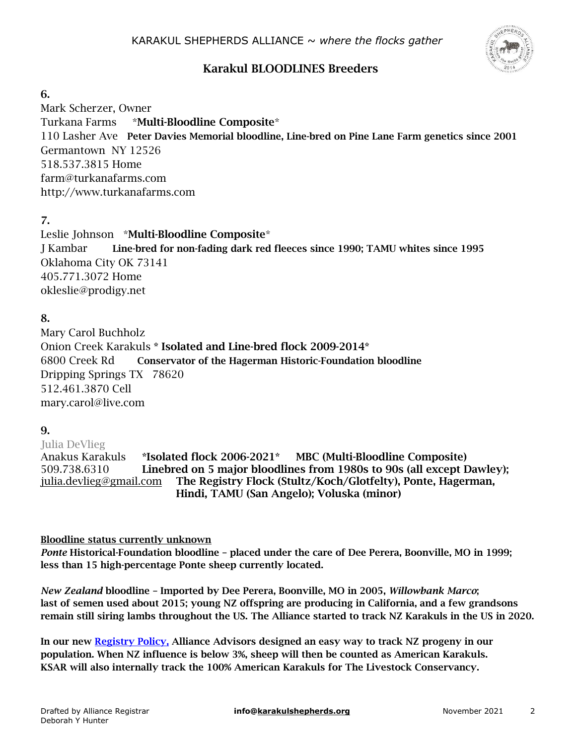

# Karakul BLOODLINES Breeders

#### 6.

Mark Scherzer, Owner Turkana Farms \*Multi-Bloodline Composite\* 110 Lasher Ave Peter Davies Memorial bloodline, Line-bred on Pine Lane Farm genetics since 2001 Germantown NY 12526 518.537.3815 Home farm@turkanafarms.com http://www.turkanafarms.com

7.

Leslie Johnson \*Multi-Bloodline Composite\* J Kambar Line-bred for non-fading dark red fleeces since 1990; TAMU whites since 1995 Oklahoma City OK 73141 405.771.3072 Home okleslie@prodigy.net

# 8.

Mary Carol Buchholz Onion Creek Karakuls \* Isolated and Line-bred flock 2009-2014\* 6800 Creek Rd Conservator of the Hagerman Historic-Foundation bloodline Dripping Springs TX 78620 512.461.3870 Cell mary.carol@live.com

# 9.

Julia DeVlieg Anakus Karakuls \*Isolated flock 2006-2021\* MBC (Multi-Bloodline Composite) 509.738.6310 Linebred on 5 major bloodlines from 1980s to 90s (all except Dawley); [julia.devlieg@gmail.com](mailto:julia.devlieg@gmail.com) The Registry Flock (Stultz/Koch/Glotfelty), Ponte, Hagerman, Hindi, TAMU (San Angelo); Voluska (minor)

#### Bloodline status currently unknown

*Ponte* Historical-Foundation bloodline – placed under the care of Dee Perera, Boonville, MO in 1999; less than 15 high-percentage Ponte sheep currently located.

*New Zealand* bloodline – Imported by Dee Perera, Boonville, MO in 2005, *Willowbank Marco*; last of semen used about 2015; young NZ offspring are producing in California, and a few grandsons remain still siring lambs throughout the US. The Alliance started to track NZ Karakuls in the US in 2020.

In our new [Registry](https://karakulsheep.files.wordpress.com/2020/12/8-registry-policy.pdf) Policy, Alliance Advisors designed an easy way to track NZ progeny in our population. When NZ influence is below 3%, sheep will then be counted as American Karakuls. KSAR will also internally track the 100% American Karakuls for The Livestock Conservancy.